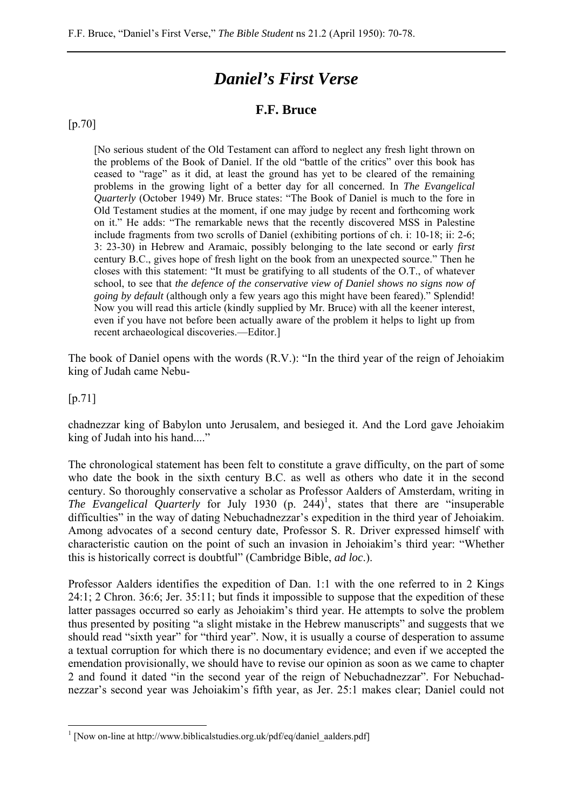# *Daniel's First Verse*

## **F.F. Bruce**

#### [p.70]

[No serious student of the Old Testament can afford to neglect any fresh light thrown on the problems of the Book of Daniel. If the old "battle of the critics" over this book has ceased to "rage" as it did, at least the ground has yet to be cleared of the remaining problems in the growing light of a better day for all concerned. In *The Evangelical Quarterly* (October 1949) Mr. Bruce states: "The Book of Daniel is much to the fore in Old Testament studies at the moment, if one may judge by recent and forthcoming work on it." He adds: "The remarkable news that the recently discovered MSS in Palestine include fragments from two scrolls of Daniel (exhibiting portions of ch. i: 10-18; ii: 2-6; 3: 23-30) in Hebrew and Aramaic, possibly belonging to the late second or early *first* century B.C., gives hope of fresh light on the book from an unexpected source." Then he closes with this statement: "It must be gratifying to all students of the O.T., of whatever school, to see that *the defence of the conservative view of Daniel shows no signs now of going by default* (although only a few years ago this might have been feared)." Splendid! Now you will read this article (kindly supplied by Mr. Bruce) with all the keener interest, even if you have not before been actually aware of the problem it helps to light up from recent archaeological discoveries.—Editor.]

The book of Daniel opens with the words (R.V.): "In the third year of the reign of Jehoiakim king of Judah came Nebu-

[p.71]

 $\overline{a}$ 

chadnezzar king of Babylon unto Jerusalem, and besieged it. And the Lord gave Jehoiakim king of Judah into his hand...."

The chronological statement has been felt to constitute a grave difficulty, on the part of some who date the book in the sixth century B.C. as well as others who date it in the second century. So thoroughly conservative a scholar as Professor Aalders of Amsterdam, writing in *The Evangelical Quarterly* for July 1930  $(p. 244)^1$ , states that there are "insuperable" difficulties" in the way of dating Nebuchadnezzar's expedition in the third year of Jehoiakim. Among advocates of a second century date, Professor S. R. Driver expressed himself with characteristic caution on the point of such an invasion in Jehoiakim's third year: "Whether this is historically correct is doubtful" (Cambridge Bible, *ad loc*.).

Professor Aalders identifies the expedition of Dan. 1:1 with the one referred to in 2 Kings 24:1; 2 Chron. 36:6; Jer. 35:11; but finds it impossible to suppose that the expedition of these latter passages occurred so early as Jehoiakim's third year. He attempts to solve the problem thus presented by positing "a slight mistake in the Hebrew manuscripts" and suggests that we should read "sixth year" for "third year". Now, it is usually a course of desperation to assume a textual corruption for which there is no documentary evidence; and even if we accepted the emendation provisionally, we should have to revise our opinion as soon as we came to chapter 2 and found it dated "in the second year of the reign of Nebuchadnezzar". For Nebuchadnezzar's second year was Jehoiakim's fifth year, as Jer. 25:1 makes clear; Daniel could not

<sup>&</sup>lt;sup>1</sup> [Now on-line at http://www.biblicalstudies.org.uk/pdf/eq/daniel\_aalders.pdf]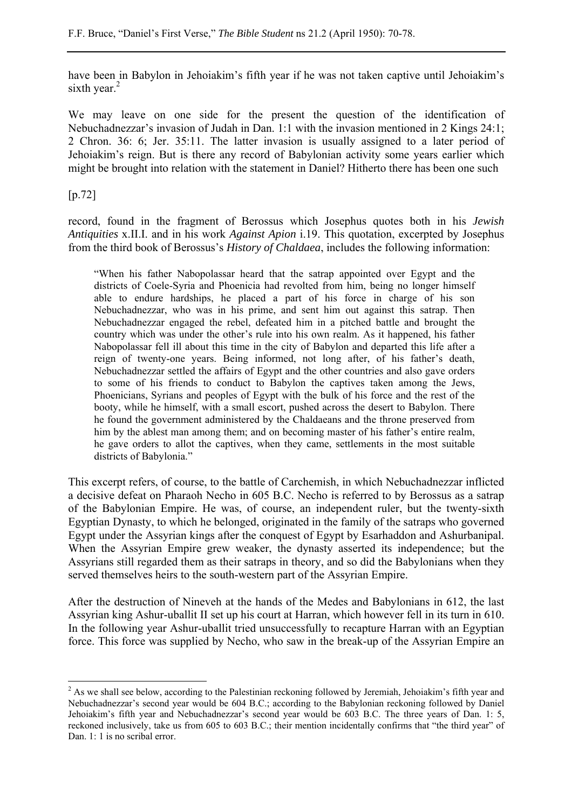have been in Babylon in Jehoiakim's fifth year if he was not taken captive until Jehoiakim's sixth year.<sup>2</sup>

We may leave on one side for the present the question of the identification of Nebuchadnezzar's invasion of Judah in Dan. 1:1 with the invasion mentioned in 2 Kings 24:1; 2 Chron. 36: 6; Jer. 35:11. The latter invasion is usually assigned to a later period of Jehoiakim's reign. But is there any record of Babylonian activity some years earlier which might be brought into relation with the statement in Daniel? Hitherto there has been one such

[p.72]

 $\overline{a}$ 

record, found in the fragment of Berossus which Josephus quotes both in his *Jewish Antiquities* x.II.I. and in his work *Against Apion* i.19. This quotation, excerpted by Josephus from the third book of Berossus's *History of Chaldaea*, includes the following information:

"When his father Nabopolassar heard that the satrap appointed over Egypt and the districts of Coele-Syria and Phoenicia had revolted from him, being no longer himself able to endure hardships, he placed a part of his force in charge of his son Nebuchadnezzar, who was in his prime, and sent him out against this satrap. Then Nebuchadnezzar engaged the rebel, defeated him in a pitched battle and brought the country which was under the other's rule into his own realm. As it happened, his father Nabopolassar fell ill about this time in the city of Babylon and departed this life after a reign of twenty-one years. Being informed, not long after, of his father's death, Nebuchadnezzar settled the affairs of Egypt and the other countries and also gave orders to some of his friends to conduct to Babylon the captives taken among the Jews, Phoenicians, Syrians and peoples of Egypt with the bulk of his force and the rest of the booty, while he himself, with a small escort, pushed across the desert to Babylon. There he found the government administered by the Chaldaeans and the throne preserved from him by the ablest man among them; and on becoming master of his father's entire realm, he gave orders to allot the captives, when they came, settlements in the most suitable districts of Babylonia."

This excerpt refers, of course, to the battle of Carchemish, in which Nebuchadnezzar inflicted a decisive defeat on Pharaoh Necho in 605 B.C. Necho is referred to by Berossus as a satrap of the Babylonian Empire. He was, of course, an independent ruler, but the twenty-sixth Egyptian Dynasty, to which he belonged, originated in the family of the satraps who governed Egypt under the Assyrian kings after the conquest of Egypt by Esarhaddon and Ashurbanipal. When the Assyrian Empire grew weaker, the dynasty asserted its independence; but the Assyrians still regarded them as their satraps in theory, and so did the Babylonians when they served themselves heirs to the south-western part of the Assyrian Empire.

After the destruction of Nineveh at the hands of the Medes and Babylonians in 612, the last Assyrian king Ashur-uballit II set up his court at Harran, which however fell in its turn in 610. In the following year Ashur-uballit tried unsuccessfully to recapture Harran with an Egyptian force. This force was supplied by Necho, who saw in the break-up of the Assyrian Empire an

 $2^2$  As we shall see below, according to the Palestinian reckoning followed by Jeremiah, Jehoiakim's fifth year and Nebuchadnezzar's second year would be 604 B.C.; according to the Babylonian reckoning followed by Daniel Jehoiakim's fifth year and Nebuchadnezzar's second year would be 603 B.C. The three years of Dan. 1: 5, reckoned inclusively, take us from 605 to 603 B.C.; their mention incidentally confirms that "the third year" of Dan. 1: 1 is no scribal error.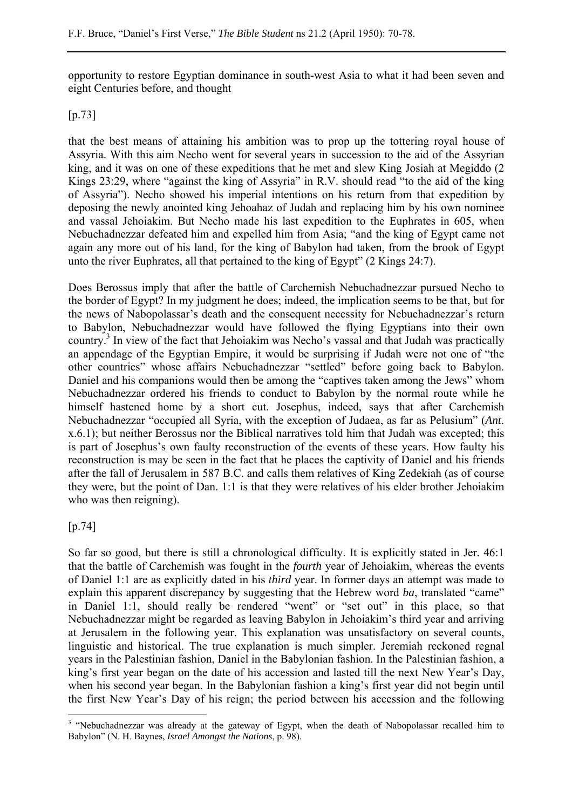opportunity to restore Egyptian dominance in south-west Asia to what it had been seven and eight Centuries before, and thought

## [p.73]

that the best means of attaining his ambition was to prop up the tottering royal house of Assyria. With this aim Necho went for several years in succession to the aid of the Assyrian king, and it was on one of these expeditions that he met and slew King Josiah at Megiddo (2 Kings 23:29, where "against the king of Assyria" in R.V. should read "to the aid of the king of Assyria"). Necho showed his imperial intentions on his return from that expedition by deposing the newly anointed king Jehoahaz of Judah and replacing him by his own nominee and vassal Jehoiakim. But Necho made his last expedition to the Euphrates in 605, when Nebuchadnezzar defeated him and expelled him from Asia; "and the king of Egypt came not again any more out of his land, for the king of Babylon had taken, from the brook of Egypt unto the river Euphrates, all that pertained to the king of Egypt" (2 Kings 24:7).

Does Berossus imply that after the battle of Carchemish Nebuchadnezzar pursued Necho to the border of Egypt? In my judgment he does; indeed, the implication seems to be that, but for the news of Nabopolassar's death and the consequent necessity for Nebuchadnezzar's return to Babylon, Nebuchadnezzar would have followed the flying Egyptians into their own country.<sup>3</sup> In view of the fact that Jehoiakim was Necho's vassal and that Judah was practically an appendage of the Egyptian Empire, it would be surprising if Judah were not one of "the other countries" whose affairs Nebuchadnezzar "settled" before going back to Babylon. Daniel and his companions would then be among the "captives taken among the Jews" whom Nebuchadnezzar ordered his friends to conduct to Babylon by the normal route while he himself hastened home by a short cut. Josephus, indeed, says that after Carchemish Nebuchadnezzar "occupied all Syria, with the exception of Judaea, as far as Pelusium" (*Ant*. x.6.1); but neither Berossus nor the Biblical narratives told him that Judah was excepted; this is part of Josephus's own faulty reconstruction of the events of these years. How faulty his reconstruction is may be seen in the fact that he places the captivity of Daniel and his friends after the fall of Jerusalem in 587 B.C. and calls them relatives of King Zedekiah (as of course they were, but the point of Dan. 1:1 is that they were relatives of his elder brother Jehoiakim who was then reigning).

## [p.74]

 $\overline{a}$ 

So far so good, but there is still a chronological difficulty. It is explicitly stated in Jer. 46:1 that the battle of Carchemish was fought in the *fourth* year of Jehoiakim, whereas the events of Daniel 1:1 are as explicitly dated in his *third* year. In former days an attempt was made to explain this apparent discrepancy by suggesting that the Hebrew word *ba*, translated "came" in Daniel 1:1, should really be rendered "went" or "set out" in this place, so that Nebuchadnezzar might be regarded as leaving Babylon in Jehoiakim's third year and arriving at Jerusalem in the following year. This explanation was unsatisfactory on several counts, linguistic and historical. The true explanation is much simpler. Jeremiah reckoned regnal years in the Palestinian fashion, Daniel in the Babylonian fashion. In the Palestinian fashion, a king's first year began on the date of his accession and lasted till the next New Year's Day, when his second year began. In the Babylonian fashion a king's first year did not begin until the first New Year's Day of his reign; the period between his accession and the following

<sup>&</sup>lt;sup>3</sup> "Nebuchadnezzar was already at the gateway of Egypt, when the death of Nabopolassar recalled him to Babylon" (N. H. Baynes, *Israel Amongst the Nations*, p. 98).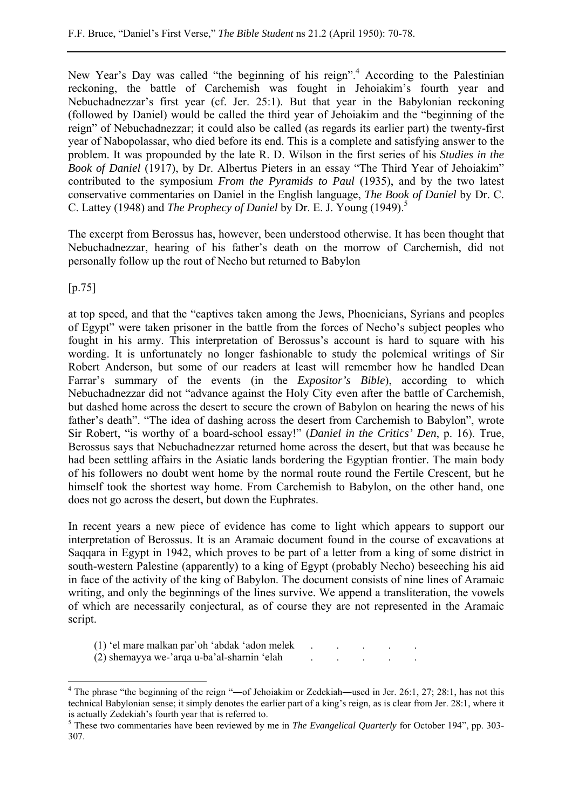New Year's Day was called "the beginning of his reign".<sup>4</sup> According to the Palestinian reckoning, the battle of Carchemish was fought in Jehoiakim's fourth year and Nebuchadnezzar's first year (cf. Jer. 25:1). But that year in the Babylonian reckoning (followed by Daniel) would be called the third year of Jehoiakim and the "beginning of the reign" of Nebuchadnezzar; it could also be called (as regards its earlier part) the twenty-first year of Nabopolassar, who died before its end. This is a complete and satisfying answer to the problem. It was propounded by the late R. D. Wilson in the first series of his *Studies in the Book of Daniel* (1917), by Dr. Albertus Pieters in an essay "The Third Year of Jehoiakim" contributed to the symposium *From the Pyramids to Paul* (1935), and by the two latest conservative commentaries on Daniel in the English language, *The Book of Daniel* by Dr. C. C. Lattey (1948) and *The Prophecy of Daniel* by Dr. E. J. Young (1949).5

The excerpt from Berossus has, however, been understood otherwise. It has been thought that Nebuchadnezzar, hearing of his father's death on the morrow of Carchemish, did not personally follow up the rout of Necho but returned to Babylon

[p.75]

at top speed, and that the "captives taken among the Jews, Phoenicians, Syrians and peoples of Egypt" were taken prisoner in the battle from the forces of Necho's subject peoples who fought in his army. This interpretation of Berossus's account is hard to square with his wording. It is unfortunately no longer fashionable to study the polemical writings of Sir Robert Anderson, but some of our readers at least will remember how he handled Dean Farrar's summary of the events (in the *Expositor's Bible*), according to which Nebuchadnezzar did not "advance against the Holy City even after the battle of Carchemish, but dashed home across the desert to secure the crown of Babylon on hearing the news of his father's death". "The idea of dashing across the desert from Carchemish to Babylon", wrote Sir Robert, "is worthy of a board-school essay!" (*Daniel in the Critics' Den*, p. 16). True, Berossus says that Nebuchadnezzar returned home across the desert, but that was because he had been settling affairs in the Asiatic lands bordering the Egyptian frontier. The main body of his followers no doubt went home by the normal route round the Fertile Crescent, but he himself took the shortest way home. From Carchemish to Babylon, on the other hand, one does not go across the desert, but down the Euphrates.

In recent years a new piece of evidence has come to light which appears to support our interpretation of Berossus. It is an Aramaic document found in the course of excavations at Saqqara in Egypt in 1942, which proves to be part of a letter from a king of some district in south-western Palestine (apparently) to a king of Egypt (probably Necho) beseeching his aid in face of the activity of the king of Babylon. The document consists of nine lines of Aramaic writing, and only the beginnings of the lines survive. We append a transliteration, the vowels of which are necessarily conjectural, as of course they are not represented in the Aramaic script.

- $(1)$  'el mare malkan par'oh 'abdak 'adon melek
- $(2)$  shemayya we-'arqa u-ba'al-sharnin 'elah

 $\overline{a}$ <sup>4</sup> The phrase "the beginning of the reign "—of Jehoiakim or Zedekiah—used in Jer. 26:1, 27; 28:1, has not this technical Babylonian sense; it simply denotes the earlier part of a king's reign, as is clear from Jer. 28:1, where it is actually Zedekiah's fourth year that is referred to.

<sup>&</sup>lt;sup>5</sup> These two commentaries have been reviewed by me in *The Evangelical Quarterly* for October 194", pp. 303-307.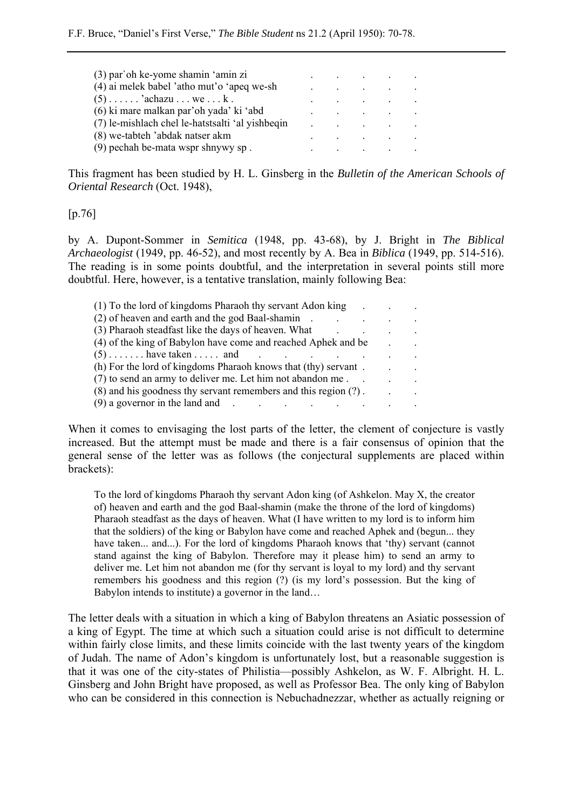| (3) par`oh ke-yome shamin 'amin zi               |  | the contract of the contract of the contract of                                                             |           |
|--------------------------------------------------|--|-------------------------------------------------------------------------------------------------------------|-----------|
| (4) ai melek babel 'atho mut'o 'apeq we-sh       |  | and the state of the state of the state of                                                                  | $\sim 10$ |
| $(5)$ <sup>2</sup> achazu wek.                   |  | and the state of the state of the state of                                                                  |           |
| (6) ki mare malkan par'oh yada' ki 'abd          |  | and the contract of the contract of                                                                         |           |
| (7) le-mishlach chel le-hatstsalti 'al yishbeqin |  | the control of the control of the control of                                                                |           |
| (8) we-tabteh 'abdak natser akm                  |  | and the state of the state of the state of                                                                  |           |
| (9) pechah be-mata wspr shnywy sp.               |  | $\mathbf{a}$ , and $\mathbf{a}$ , and $\mathbf{a}$ , and $\mathbf{a}$ , and $\mathbf{a}$ , and $\mathbf{a}$ |           |

This fragment has been studied by H. L. Ginsberg in the *Bulletin of the American Schools of Oriental Research* (Oct. 1948),

#### [p.76]

by A. Dupont-Sommer in *Semitica* (1948, pp. 43-68), by J. Bright in *The Biblical Archaeologist* (1949, pp. 46-52), and most recently by A. Bea in *Biblica* (1949, pp. 514-516). The reading is in some points doubtful, and the interpretation in several points still more doubtful. Here, however, is a tentative translation, mainly following Bea:

| (1) To the lord of kingdoms Pharaoh thy servant Adon king       |  |  |
|-----------------------------------------------------------------|--|--|
| (2) of heaven and earth and the god Baal-shamin                 |  |  |
| (3) Pharaoh steadfast like the days of heaven. What             |  |  |
| (4) of the king of Babylon have come and reached Aphek and be   |  |  |
| $(5)$ have taken and                                            |  |  |
| (h) For the lord of kingdoms Pharaoh knows that (thy) servant.  |  |  |
| (7) to send an army to deliver me. Let him not abandon me.      |  |  |
| (8) and his goodness thy servant remembers and this region (?). |  |  |
| $(9)$ a governor in the land and                                |  |  |

When it comes to envisaging the lost parts of the letter, the clement of conjecture is vastly increased. But the attempt must be made and there is a fair consensus of opinion that the general sense of the letter was as follows (the conjectural supplements are placed within brackets):

To the lord of kingdoms Pharaoh thy servant Adon king (of Ashkelon. May X, the creator of) heaven and earth and the god Baal-shamin (make the throne of the lord of kingdoms) Pharaoh steadfast as the days of heaven. What (I have written to my lord is to inform him that the soldiers) of the king or Babylon have come and reached Aphek and (begun... they have taken... and...). For the lord of kingdoms Pharaoh knows that 'thy) servant (cannot stand against the king of Babylon. Therefore may it please him) to send an army to deliver me. Let him not abandon me (for thy servant is loyal to my lord) and thy servant remembers his goodness and this region (?) (is my lord's possession. But the king of Babylon intends to institute) a governor in the land…

The letter deals with a situation in which a king of Babylon threatens an Asiatic possession of a king of Egypt. The time at which such a situation could arise is not difficult to determine within fairly close limits, and these limits coincide with the last twenty years of the kingdom of Judah. The name of Adon's kingdom is unfortunately lost, but a reasonable suggestion is that it was one of the city-states of Philistia—possibly Ashkelon, as W. F. Albright. H. L. Ginsberg and John Bright have proposed, as well as Professor Bea. The only king of Babylon who can be considered in this connection is Nebuchadnezzar, whether as actually reigning or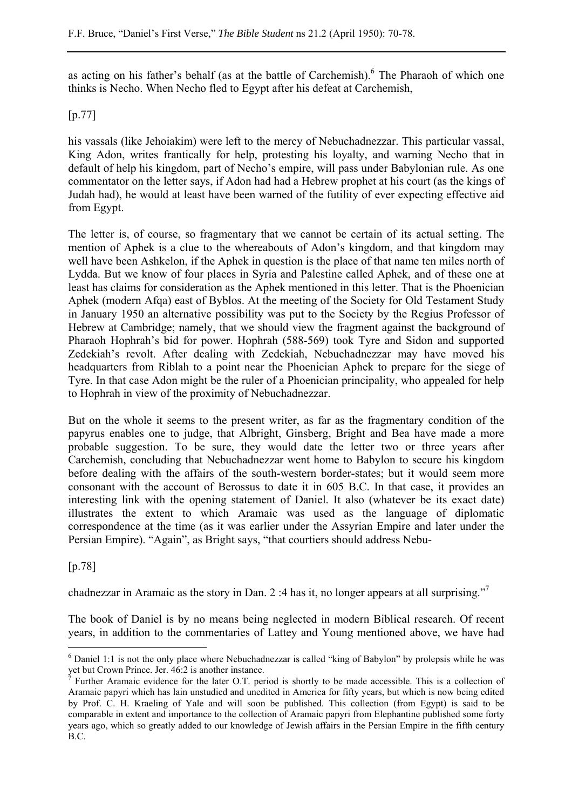as acting on his father's behalf (as at the battle of Carchemish). <sup>6</sup> The Pharaoh of which one thinks is Necho. When Necho fled to Egypt after his defeat at Carchemish,

## [p.77]

his vassals (like Jehoiakim) were left to the mercy of Nebuchadnezzar. This particular vassal, King Adon, writes frantically for help, protesting his loyalty, and warning Necho that in default of help his kingdom, part of Necho's empire, will pass under Babylonian rule. As one commentator on the letter says, if Adon had had a Hebrew prophet at his court (as the kings of Judah had), he would at least have been warned of the futility of ever expecting effective aid from Egypt.

The letter is, of course, so fragmentary that we cannot be certain of its actual setting. The mention of Aphek is a clue to the whereabouts of Adon's kingdom, and that kingdom may well have been Ashkelon, if the Aphek in question is the place of that name ten miles north of Lydda. But we know of four places in Syria and Palestine called Aphek, and of these one at least has claims for consideration as the Aphek mentioned in this letter. That is the Phoenician Aphek (modern Afqa) east of Byblos. At the meeting of the Society for Old Testament Study in January 1950 an alternative possibility was put to the Society by the Regius Professor of Hebrew at Cambridge; namely, that we should view the fragment against the background of Pharaoh Hophrah's bid for power. Hophrah (588-569) took Tyre and Sidon and supported Zedekiah's revolt. After dealing with Zedekiah, Nebuchadnezzar may have moved his headquarters from Riblah to a point near the Phoenician Aphek to prepare for the siege of Tyre. In that case Adon might be the ruler of a Phoenician principality, who appealed for help to Hophrah in view of the proximity of Nebuchadnezzar.

But on the whole it seems to the present writer, as far as the fragmentary condition of the papyrus enables one to judge, that Albright, Ginsberg, Bright and Bea have made a more probable suggestion. To be sure, they would date the letter two or three years after Carchemish, concluding that Nebuchadnezzar went home to Babylon to secure his kingdom before dealing with the affairs of the south-western border-states; but it would seem more consonant with the account of Berossus to date it in 605 B.C. In that case, it provides an interesting link with the opening statement of Daniel. It also (whatever be its exact date) illustrates the extent to which Aramaic was used as the language of diplomatic correspondence at the time (as it was earlier under the Assyrian Empire and later under the Persian Empire). "Again", as Bright says, "that courtiers should address Nebu-

## [p.78]

 $\overline{a}$ 

chadnezzar in Aramaic as the story in Dan. 2 :4 has it, no longer appears at all surprising."

The book of Daniel is by no means being neglected in modern Biblical research. Of recent years, in addition to the commentaries of Lattey and Young mentioned above, we have had

<sup>&</sup>lt;sup>6</sup> Daniel 1:1 is not the only place where Nebuchadnezzar is called "king of Babylon" by prolepsis while he was yet but Crown Prince. Jer. 46:2 is another instance.

<sup>7</sup> Further Aramaic evidence for the later O.T. period is shortly to be made accessible. This is a collection of Aramaic papyri which has lain unstudied and unedited in America for fifty years, but which is now being edited by Prof. C. H. Kraeling of Yale and will soon be published. This collection (from Egypt) is said to be comparable in extent and importance to the collection of Aramaic papyri from Elephantine published some forty years ago, which so greatly added to our knowledge of Jewish affairs in the Persian Empire in the fifth century B.C.